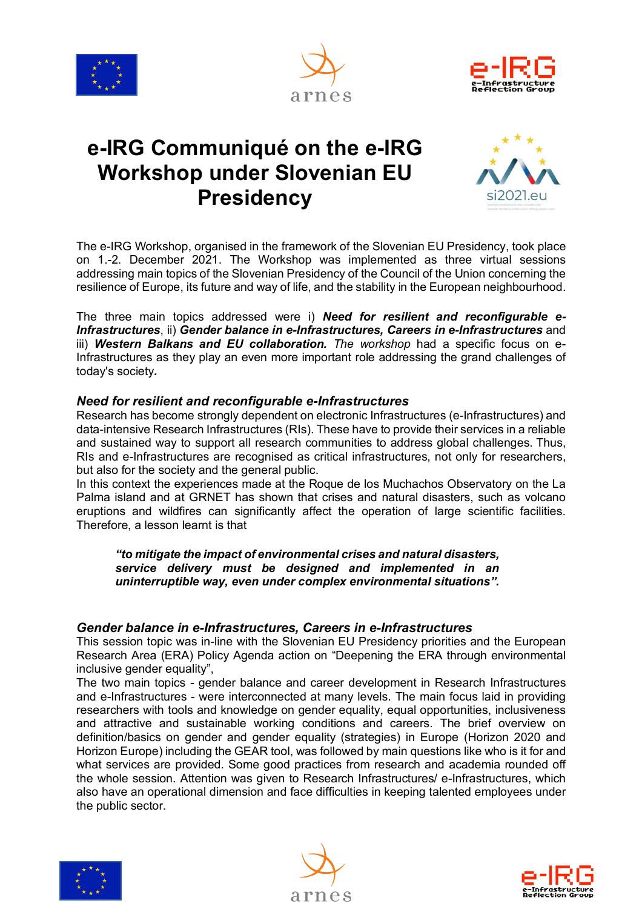





# **e-IRG Communiqué on the e-IRG Workshop under Slovenian EU Presidency**



The e-IRG Workshop, organised in the framework of the Slovenian EU Presidency, took place on 1.-2. December 2021. The Workshop was implemented as three virtual sessions addressing main topics of the Slovenian Presidency of the Council of the Union concerning the resilience of Europe, its future and way of life, and the stability in the European neighbourhood.

The three main topics addressed were i) *Need for resilient and reconfigurable e-Infrastructures*, ii) *Gender balance in e-Infrastructures, Careers in e-Infrastructures* and iii) *Western Balkans and EU collaboration. The workshop* had a specific focus on e-Infrastructures as they play an even more important role addressing the grand challenges of today's society*.*

## *Need for resilient and reconfigurable e-Infrastructures*

Research has become strongly dependent on electronic Infrastructures (e-Infrastructures) and data-intensive Research Infrastructures (RIs). These have to provide their services in a reliable and sustained way to support all research communities to address global challenges. Thus, RIs and e-Infrastructures are recognised as critical infrastructures, not only for researchers, but also for the society and the general public.

In this context the experiences made at the Roque de los Muchachos Observatory on the La Palma island and at GRNET has shown that crises and natural disasters, such as volcano eruptions and wildfires can significantly affect the operation of large scientific facilities. Therefore, a lesson learnt is that

*"to mitigate the impact of environmental crises and natural disasters, service delivery must be designed and implemented in an uninterruptible way, even under complex environmental situations".*

### *Gender balance in e-Infrastructures, Careers in e-Infrastructures*

This session topic was in-line with the Slovenian EU Presidency priorities and the European Research Area (ERA) Policy Agenda action on "Deepening the ERA through environmental inclusive gender equality",

The two main topics - gender balance and career development in Research Infrastructures and e-Infrastructures - were interconnected at many levels. The main focus laid in providing researchers with tools and knowledge on gender equality, equal opportunities, inclusiveness and attractive and sustainable working conditions and careers. The brief overview on definition/basics on gender and gender equality (strategies) in Europe (Horizon 2020 and Horizon Europe) including the GEAR tool, was followed by main questions like who is it for and what services are provided. Some good practices from research and academia rounded off the whole session. Attention was given to Research Infrastructures/ e-Infrastructures, which also have an operational dimension and face difficulties in keeping talented employees under the public sector.





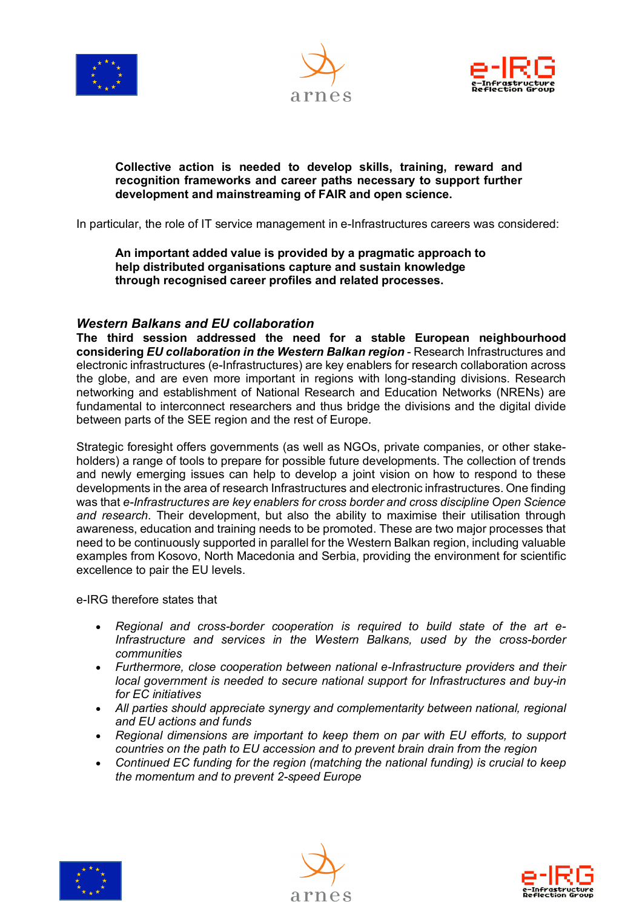





#### **Collective action is needed to develop skills, training, reward and recognition frameworks and career paths necessary to support further development and mainstreaming of FAIR and open science.**

In particular, the role of IT service management in e-Infrastructures careers was considered:

**An important added value is provided by a pragmatic approach to help distributed organisations capture and sustain knowledge through recognised career profiles and related processes.**

### *Western Balkans and EU collaboration*

**The third session addressed the need for a stable European neighbourhood considering** *EU collaboration in the Western Balkan region* - Research Infrastructures and electronic infrastructures (e-Infrastructures) are key enablers for research collaboration across the globe, and are even more important in regions with long-standing divisions. Research networking and establishment of National Research and Education Networks (NRENs) are fundamental to interconnect researchers and thus bridge the divisions and the digital divide between parts of the SEE region and the rest of Europe.

Strategic foresight offers governments (as well as NGOs, private companies, or other stakeholders) a range of tools to prepare for possible future developments. The collection of trends and newly emerging issues can help to develop a joint vision on how to respond to these developments in the area of research Infrastructures and electronic infrastructures. One finding was that *e-Infrastructures are key enablers for cross border and cross discipline Open Science and research*. Their development, but also the ability to maximise their utilisation through awareness, education and training needs to be promoted. These are two major processes that need to be continuously supported in parallel for the Western Balkan region, including valuable examples from Kosovo, North Macedonia and Serbia, providing the environment for scientific excellence to pair the EU levels.

e-IRG therefore states that

- *Regional and cross-border cooperation is required to build state of the art e-Infrastructure and services in the Western Balkans, used by the cross-border communities*
- *Furthermore, close cooperation between national e-Infrastructure providers and their local government is needed to secure national support for Infrastructures and buy-in for EC initiatives*
- *All parties should appreciate synergy and complementarity between national, regional and EU actions and funds*
- *Regional dimensions are important to keep them on par with EU efforts, to support countries on the path to EU accession and to prevent brain drain from the region*
- *Continued EC funding for the region (matching the national funding) is crucial to keep the momentum and to prevent 2-speed Europe*